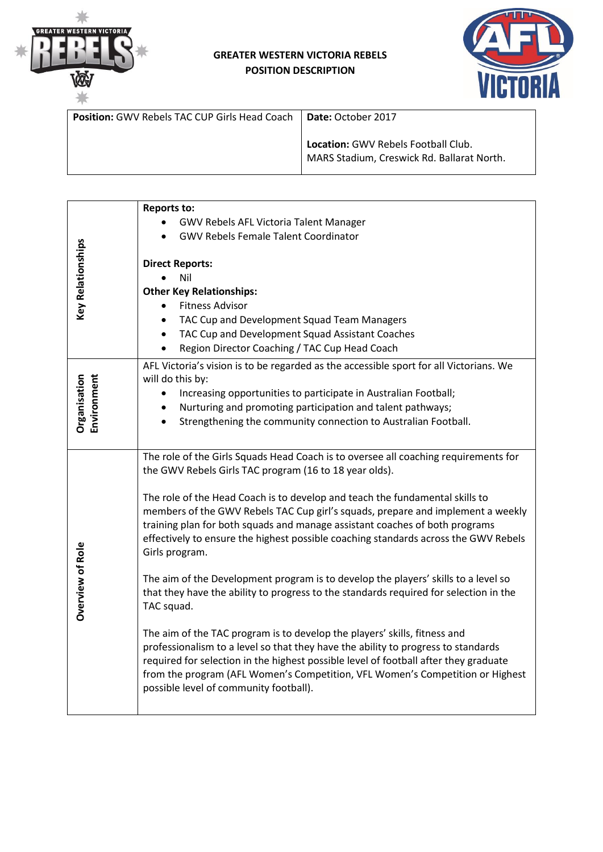

## **GREATER WESTERN VICTORIA REBELS POSITION DESCRIPTION**



| <b>Position: GWV Rebels TAC CUP Girls Head Coach</b> | <b>Date: October 2017</b>                                                                |
|------------------------------------------------------|------------------------------------------------------------------------------------------|
|                                                      | <b>Location: GWV Rebels Football Club.</b><br>MARS Stadium, Creswick Rd. Ballarat North. |

|                                    | <b>Reports to:</b>                                                                     |
|------------------------------------|----------------------------------------------------------------------------------------|
|                                    |                                                                                        |
|                                    | <b>GWV Rebels AFL Victoria Talent Manager</b>                                          |
|                                    | <b>GWV Rebels Female Talent Coordinator</b>                                            |
| <b>Key Relationships</b>           |                                                                                        |
|                                    | <b>Direct Reports:</b>                                                                 |
|                                    | Nil                                                                                    |
|                                    | <b>Other Key Relationships:</b>                                                        |
|                                    | <b>Fitness Advisor</b><br>$\bullet$                                                    |
|                                    | TAC Cup and Development Squad Team Managers<br>$\bullet$                               |
|                                    | TAC Cup and Development Squad Assistant Coaches<br>$\bullet$                           |
|                                    | Region Director Coaching / TAC Cup Head Coach<br>$\bullet$                             |
|                                    | AFL Victoria's vision is to be regarded as the accessible sport for all Victorians. We |
|                                    | will do this by:                                                                       |
|                                    |                                                                                        |
|                                    | Increasing opportunities to participate in Australian Football;                        |
| <b>Organisation</b><br>Environment | Nurturing and promoting participation and talent pathways;                             |
|                                    | Strengthening the community connection to Australian Football.                         |
|                                    |                                                                                        |
|                                    | The role of the Girls Squads Head Coach is to oversee all coaching requirements for    |
|                                    | the GWV Rebels Girls TAC program (16 to 18 year olds).                                 |
|                                    |                                                                                        |
|                                    | The role of the Head Coach is to develop and teach the fundamental skills to           |
|                                    | members of the GWV Rebels TAC Cup girl's squads, prepare and implement a weekly        |
|                                    | training plan for both squads and manage assistant coaches of both programs            |
|                                    | effectively to ensure the highest possible coaching standards across the GWV Rebels    |
| <b>Overview of Role</b>            | Girls program.                                                                         |
|                                    |                                                                                        |
|                                    | The aim of the Development program is to develop the players' skills to a level so     |
|                                    | that they have the ability to progress to the standards required for selection in the  |
|                                    | TAC squad.                                                                             |
|                                    |                                                                                        |
|                                    | The aim of the TAC program is to develop the players' skills, fitness and              |
|                                    | professionalism to a level so that they have the ability to progress to standards      |
|                                    | required for selection in the highest possible level of football after they graduate   |
|                                    | from the program (AFL Women's Competition, VFL Women's Competition or Highest          |
|                                    | possible level of community football).                                                 |
|                                    |                                                                                        |
|                                    |                                                                                        |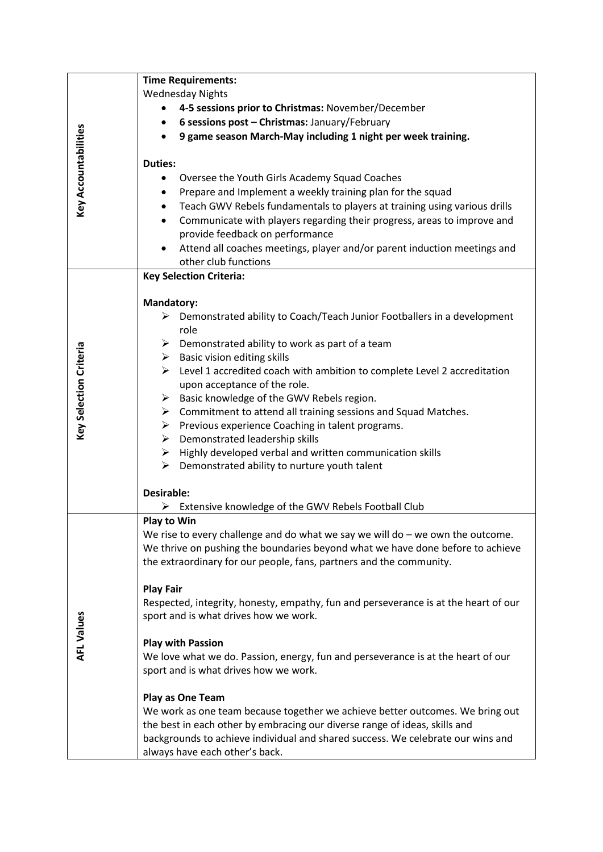|                        | <b>Time Requirements:</b>                                                                                                                 |  |
|------------------------|-------------------------------------------------------------------------------------------------------------------------------------------|--|
|                        | <b>Wednesday Nights</b>                                                                                                                   |  |
|                        | 4-5 sessions prior to Christmas: November/December                                                                                        |  |
|                        | 6 sessions post - Christmas: January/February                                                                                             |  |
| Key Accountabilities   | 9 game season March-May including 1 night per week training.                                                                              |  |
|                        | <b>Duties:</b>                                                                                                                            |  |
|                        |                                                                                                                                           |  |
|                        | Oversee the Youth Girls Academy Squad Coaches<br>٠                                                                                        |  |
|                        | Prepare and Implement a weekly training plan for the squad<br>Teach GWV Rebels fundamentals to players at training using various drills   |  |
|                        | ٠<br>Communicate with players regarding their progress, areas to improve and<br>$\bullet$                                                 |  |
|                        | provide feedback on performance                                                                                                           |  |
|                        | Attend all coaches meetings, player and/or parent induction meetings and                                                                  |  |
|                        | other club functions                                                                                                                      |  |
|                        | <b>Key Selection Criteria:</b>                                                                                                            |  |
|                        |                                                                                                                                           |  |
|                        | <b>Mandatory:</b>                                                                                                                         |  |
|                        | Demonstrated ability to Coach/Teach Junior Footballers in a development<br>≻                                                              |  |
|                        | role                                                                                                                                      |  |
| Key Selection Criteria | $\triangleright$ Demonstrated ability to work as part of a team                                                                           |  |
|                        | $\triangleright$ Basic vision editing skills<br>$\triangleright$ Level 1 accredited coach with ambition to complete Level 2 accreditation |  |
|                        | upon acceptance of the role.                                                                                                              |  |
|                        | > Basic knowledge of the GWV Rebels region.                                                                                               |  |
|                        | $\triangleright$ Commitment to attend all training sessions and Squad Matches.                                                            |  |
|                        | $\triangleright$ Previous experience Coaching in talent programs.                                                                         |  |
|                        | Demonstrated leadership skills<br>$\blacktriangleright$                                                                                   |  |
|                        | $\triangleright$ Highly developed verbal and written communication skills                                                                 |  |
|                        | $\triangleright$ Demonstrated ability to nurture youth talent                                                                             |  |
|                        |                                                                                                                                           |  |
|                        | <b>Desirable:</b><br>Extensive knowledge of the GWV Rebels Football Club<br>➤                                                             |  |
|                        | <b>Play to Win</b>                                                                                                                        |  |
|                        | We rise to every challenge and do what we say we will do $-$ we own the outcome.                                                          |  |
|                        | We thrive on pushing the boundaries beyond what we have done before to achieve                                                            |  |
|                        | the extraordinary for our people, fans, partners and the community.                                                                       |  |
|                        |                                                                                                                                           |  |
|                        | <b>Play Fair</b>                                                                                                                          |  |
|                        | Respected, integrity, honesty, empathy, fun and perseverance is at the heart of our<br>sport and is what drives how we work.              |  |
| <b>AFL Values</b>      |                                                                                                                                           |  |
|                        | <b>Play with Passion</b>                                                                                                                  |  |
|                        | We love what we do. Passion, energy, fun and perseverance is at the heart of our                                                          |  |
|                        | sport and is what drives how we work.                                                                                                     |  |
|                        | Play as One Team                                                                                                                          |  |
|                        | We work as one team because together we achieve better outcomes. We bring out                                                             |  |
|                        | the best in each other by embracing our diverse range of ideas, skills and                                                                |  |
|                        | backgrounds to achieve individual and shared success. We celebrate our wins and<br>always have each other's back.                         |  |
|                        |                                                                                                                                           |  |